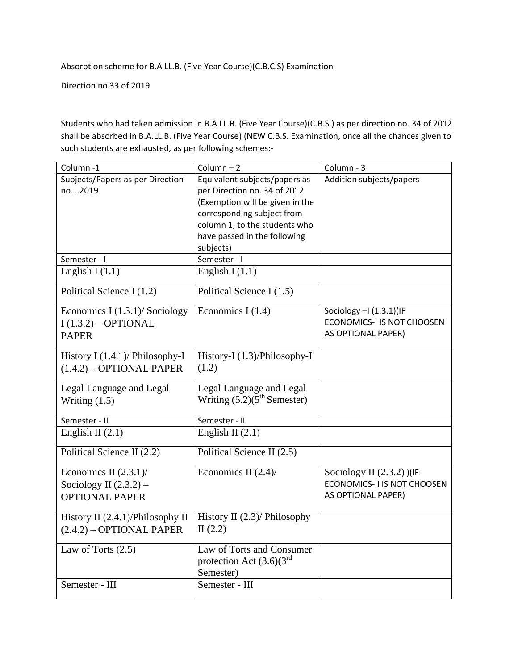Absorption scheme for B.A LL.B. (Five Year Course)(C.B.C.S) Examination

Direction no 33 of 2019

Students who had taken admission in B.A.LL.B. (Five Year Course)(C.B.S.) as per direction no. 34 of 2012 shall be absorbed in B.A.LL.B. (Five Year Course) (NEW C.B.S. Examination, once all the chances given to such students are exhausted, as per following schemes:-

| Column-1                         | Column $-2$                              | Column - 3                        |
|----------------------------------|------------------------------------------|-----------------------------------|
| Subjects/Papers as per Direction | Equivalent subjects/papers as            | Addition subjects/papers          |
| no2019                           | per Direction no. 34 of 2012             |                                   |
|                                  | (Exemption will be given in the          |                                   |
|                                  | corresponding subject from               |                                   |
|                                  | column 1, to the students who            |                                   |
|                                  | have passed in the following             |                                   |
|                                  | subjects)                                |                                   |
| Semester - I                     | Semester - I                             |                                   |
| English I $(1.1)$                | English I $(1.1)$                        |                                   |
| Political Science I (1.2)        | Political Science I (1.5)                |                                   |
| Economics I (1.3.1)/ Sociology   | Economics I $(1.4)$                      | Sociology $-1$ (1.3.1)(IF         |
| $I(1.3.2) - OPTIONAL$            |                                          | <b>ECONOMICS-I IS NOT CHOOSEN</b> |
| <b>PAPER</b>                     |                                          | AS OPTIONAL PAPER)                |
|                                  |                                          |                                   |
| History I (1.4.1)/ Philosophy-I  | History-I (1.3)/Philosophy-I             |                                   |
| $(1.4.2)$ - OPTIONAL PAPER       | (1.2)                                    |                                   |
| Legal Language and Legal         | Legal Language and Legal                 |                                   |
| Writing $(1.5)$                  | Writing $(5.2)(5^{\text{th}})$ Semester) |                                   |
| Semester - II                    | Semester - II                            |                                   |
| English II $(2.1)$               | English II $(2.1)$                       |                                   |
|                                  |                                          |                                   |
| Political Science II (2.2)       | Political Science II (2.5)               |                                   |
| Economics II $(2.3.1)$ /         | Economics II $(2.4)$                     | Sociology II $(2.3.2)$ )(IF       |
| Sociology II $(2.3.2)$ –         |                                          | ECONOMICS-II IS NOT CHOOSEN       |
| <b>OPTIONAL PAPER</b>            |                                          | AS OPTIONAL PAPER)                |
|                                  |                                          |                                   |
| History II (2.4.1)/Philosophy II | History II $(2.3)$ / Philosophy          |                                   |
| $(2.4.2)$ – OPTIONAL PAPER       | II $(2.2)$                               |                                   |
| Law of Torts $(2.5)$             | Law of Torts and Consumer                |                                   |
|                                  | protection Act $(3.6)(3^{rd}$            |                                   |
|                                  | Semester)                                |                                   |
| Semester - III                   | Semester - III                           |                                   |
|                                  |                                          |                                   |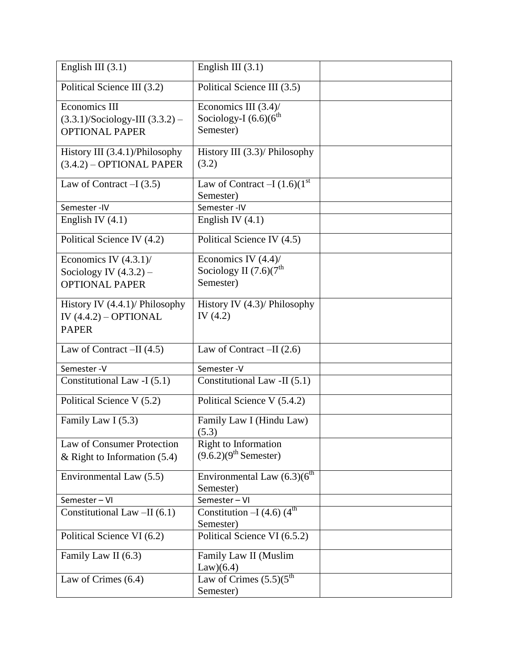| English III $(3.1)$                                                                         | English III $(3.1)$                                                        |  |
|---------------------------------------------------------------------------------------------|----------------------------------------------------------------------------|--|
| Political Science III (3.2)                                                                 | Political Science III (3.5)                                                |  |
| <b>Economics III</b><br>$(3.3.1)/\text{Sociology-III}$ $(3.3.2)$ -<br><b>OPTIONAL PAPER</b> | Economics III (3.4)/<br>Sociology-I $(6.6)(6^{th}$<br>Semester)            |  |
| History III (3.4.1)/Philosophy<br>$(3.4.2)$ – OPTIONAL PAPER                                | History III $(3.3)$ / Philosophy<br>(3.2)                                  |  |
| Law of Contract $-I(3.5)$                                                                   | Law of Contract $-I(1.6)(1st)$<br>Semester)                                |  |
| Semester-IV                                                                                 | Semester-IV                                                                |  |
| English IV $(4.1)$                                                                          | English IV $(4.1)$                                                         |  |
| Political Science IV (4.2)                                                                  | Political Science IV (4.5)                                                 |  |
| Economics IV $(4.3.1)$ /<br>Sociology IV $(4.3.2)$ –<br><b>OPTIONAL PAPER</b>               | Economics IV $(4.4)$ /<br>Sociology II $(7.6)(7^{\text{th}})$<br>Semester) |  |
| History IV $(4.4.1)$ / Philosophy<br>IV $(4.4.2) - OPTIONAL$<br><b>PAPER</b>                | History IV $(4.3)$ / Philosophy<br>IV $(4.2)$                              |  |
| Law of Contract $-II(4.5)$                                                                  | Law of Contract $-II(2.6)$                                                 |  |
| Semester-V                                                                                  | Semester-V                                                                 |  |
| Constitutional Law -I (5.1)                                                                 | Constitutional Law -II (5.1)                                               |  |
| Political Science V (5.2)                                                                   | Political Science V (5.4.2)                                                |  |
| Family Law I (5.3)                                                                          | Family Law I (Hindu Law)<br>(5.3)                                          |  |
| Law of Consumer Protection                                                                  | Right to Information                                                       |  |
| & Right to Information $(5.4)$                                                              | $(9.6.2)(9th$ Semester)                                                    |  |
| Environmental Law (5.5)                                                                     | Environmental Law $(6.3)(6^{\text{th}})$<br>Semester)                      |  |
| Semester-VI                                                                                 | Semester-VI                                                                |  |
| Constitutional Law -II (6.1)                                                                | Constitution $-I$ $\overline{(4.6)(4^{\text{th}}}$<br>Semester)            |  |
| Political Science VI (6.2)                                                                  | Political Science VI (6.5.2)                                               |  |
| Family Law II (6.3)                                                                         | Family Law II (Muslim<br>Law)(6.4)                                         |  |
| Law of Crimes $(6.4)$                                                                       | Law of Crimes $\overline{(5.5)(5^{\text{th}}}$<br>Semester)                |  |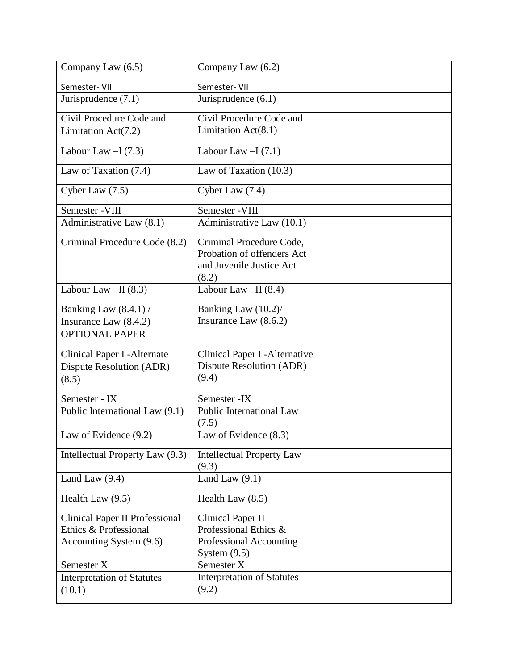| Company Law (6.5)                                                                  | Company Law (6.2)                                                                              |  |
|------------------------------------------------------------------------------------|------------------------------------------------------------------------------------------------|--|
| Semester- VII                                                                      | Semester- VII                                                                                  |  |
| Jurisprudence $(7.1)$                                                              | Jurisprudence $(6.1)$                                                                          |  |
| Civil Procedure Code and                                                           | Civil Procedure Code and                                                                       |  |
| Limitation $Act(7.2)$                                                              | Limitation Act(8.1)                                                                            |  |
| Labour Law $-I(7.3)$                                                               | Labour Law $-I(7.1)$                                                                           |  |
| Law of Taxation (7.4)                                                              | Law of Taxation (10.3)                                                                         |  |
| Cyber Law $(7.5)$                                                                  | Cyber Law $(7.4)$                                                                              |  |
| Semester - VIII                                                                    | Semester - VIII                                                                                |  |
| Administrative Law (8.1)                                                           | Administrative Law (10.1)                                                                      |  |
| Criminal Procedure Code (8.2)                                                      | Criminal Procedure Code,<br>Probation of offenders Act<br>and Juvenile Justice Act<br>(8.2)    |  |
| Labour Law $-II$ (8.3)                                                             | Labour Law $-II$ (8.4)                                                                         |  |
| Banking Law (8.4.1) /<br>Insurance Law $(8.4.2)$ –<br><b>OPTIONAL PAPER</b>        | Banking Law (10.2)/<br>Insurance Law (8.6.2)                                                   |  |
| Clinical Paper I - Alternate<br>Dispute Resolution (ADR)<br>(8.5)                  | Clinical Paper I - Alternative<br>Dispute Resolution (ADR)<br>(9.4)                            |  |
| Semester - IX                                                                      | Semester - IX                                                                                  |  |
| Public International Law (9.1)                                                     | Public International Law<br>(7.5)                                                              |  |
| Law of Evidence (9.2)                                                              | Law of Evidence (8.3)                                                                          |  |
| Intellectual Property Law (9.3)                                                    | <b>Intellectual Property Law</b><br>(9.3)                                                      |  |
| Land Law $(9.4)$                                                                   | Land Law $(9.1)$                                                                               |  |
| Health Law $(9.5)$                                                                 | Health Law $(8.5)$                                                                             |  |
| Clinical Paper II Professional<br>Ethics & Professional<br>Accounting System (9.6) | <b>Clinical Paper II</b><br>Professional Ethics &<br>Professional Accounting<br>System $(9.5)$ |  |
| Semester X                                                                         | Semester X<br><b>Interpretation of Statutes</b>                                                |  |
| <b>Interpretation of Statutes</b><br>(10.1)                                        | (9.2)                                                                                          |  |